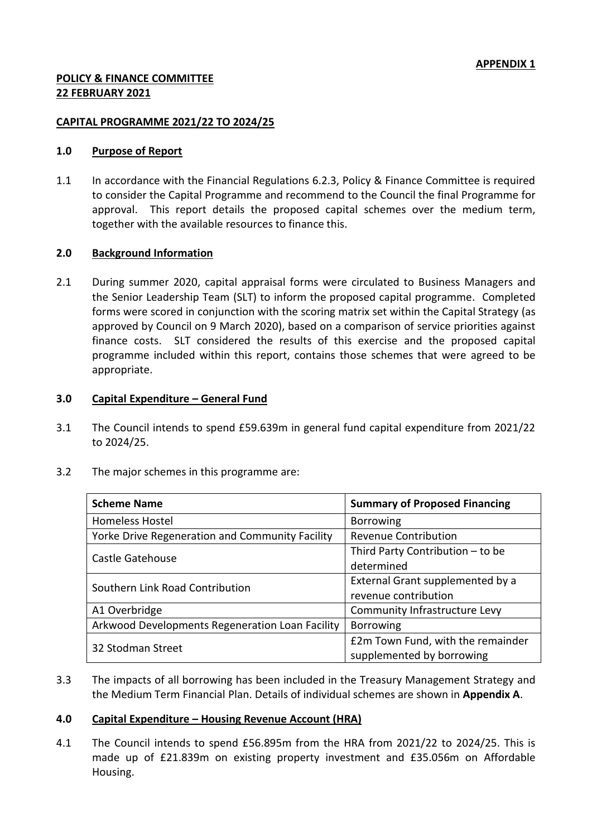## **POLICY & FINANCE COMMITTEE 22 FEBRUARY 2021**

### **CAPITAL PROGRAMME 2021/22 TO 2024/25**

#### **1.0 Purpose of Report**

1.1 In accordance with the Financial Regulations 6.2.3, Policy & Finance Committee is required to consider the Capital Programme and recommend to the Council the final Programme for approval. This report details the proposed capital schemes over the medium term, together with the available resources to finance this.

### **2.0 Background Information**

2.1 During summer 2020, capital appraisal forms were circulated to Business Managers and the Senior Leadership Team (SLT) to inform the proposed capital programme. Completed forms were scored in conjunction with the scoring matrix set within the Capital Strategy (as approved by Council on 9 March 2020), based on a comparison of service priorities against finance costs. SLT considered the results of this exercise and the proposed capital programme included within this report, contains those schemes that were agreed to be appropriate.

### **3.0 Capital Expenditure – General Fund**

- 3.1 The Council intends to spend £59.639m in general fund capital expenditure from 2021/22 to 2024/25.
- 3.2 The major schemes in this programme are:

| <b>Scheme Name</b>                              | <b>Summary of Proposed Financing</b> |  |  |
|-------------------------------------------------|--------------------------------------|--|--|
| <b>Homeless Hostel</b>                          | <b>Borrowing</b>                     |  |  |
| Yorke Drive Regeneration and Community Facility | <b>Revenue Contribution</b>          |  |  |
| Castle Gatehouse                                | Third Party Contribution – to be     |  |  |
|                                                 | determined                           |  |  |
| Southern Link Road Contribution                 | External Grant supplemented by a     |  |  |
|                                                 | revenue contribution                 |  |  |
| A1 Overbridge                                   | Community Infrastructure Levy        |  |  |
| Arkwood Developments Regeneration Loan Facility | <b>Borrowing</b>                     |  |  |
| 32 Stodman Street                               | £2m Town Fund, with the remainder    |  |  |
|                                                 | supplemented by borrowing            |  |  |

3.3 The impacts of all borrowing has been included in the Treasury Management Strategy and the Medium Term Financial Plan. Details of individual schemes are shown in **Appendix A**.

#### **4.0 Capital Expenditure – Housing Revenue Account (HRA)**

4.1 The Council intends to spend £56.895m from the HRA from 2021/22 to 2024/25. This is made up of £21.839m on existing property investment and £35.056m on Affordable Housing.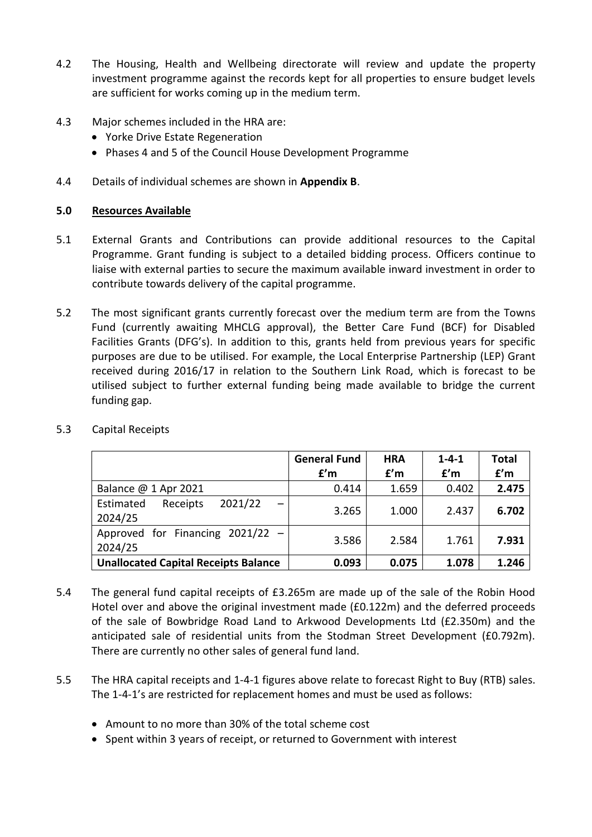- 4.2 The Housing, Health and Wellbeing directorate will review and update the property investment programme against the records kept for all properties to ensure budget levels are sufficient for works coming up in the medium term.
- 4.3 Major schemes included in the HRA are:
	- Yorke Drive Estate Regeneration
	- Phases 4 and 5 of the Council House Development Programme
- 4.4 Details of individual schemes are shown in **Appendix B**.

## **5.0 Resources Available**

- 5.1 External Grants and Contributions can provide additional resources to the Capital Programme. Grant funding is subject to a detailed bidding process. Officers continue to liaise with external parties to secure the maximum available inward investment in order to contribute towards delivery of the capital programme.
- 5.2 The most significant grants currently forecast over the medium term are from the Towns Fund (currently awaiting MHCLG approval), the Better Care Fund (BCF) for Disabled Facilities Grants (DFG's). In addition to this, grants held from previous years for specific purposes are due to be utilised. For example, the Local Enterprise Partnership (LEP) Grant received during 2016/17 in relation to the Southern Link Road, which is forecast to be utilised subject to further external funding being made available to bridge the current funding gap.

|                                                                         | <b>General Fund</b><br>f'm | <b>HRA</b><br>f'm | $1 - 4 - 1$<br>f'm | Total<br>f'm |
|-------------------------------------------------------------------------|----------------------------|-------------------|--------------------|--------------|
| Balance $@1$ Apr 2021                                                   | 0.414                      | 1.659             | 0.402              | 2.475        |
| 2021/22<br>$\overline{\phantom{0}}$<br>Estimated<br>Receipts<br>2024/25 | 3.265                      | 1.000             | 2.437              | 6.702        |
| Approved for Financing $2021/22 -$<br>2024/25                           | 3.586                      | 2.584             | 1.761              | 7.931        |
| <b>Unallocated Capital Receipts Balance</b>                             | 0.093                      | 0.075             | 1.078              | 1.246        |

5.3 Capital Receipts

- 5.4 The general fund capital receipts of £3.265m are made up of the sale of the Robin Hood Hotel over and above the original investment made (£0.122m) and the deferred proceeds of the sale of Bowbridge Road Land to Arkwood Developments Ltd (£2.350m) and the anticipated sale of residential units from the Stodman Street Development (£0.792m). There are currently no other sales of general fund land.
- 5.5 The HRA capital receipts and 1-4-1 figures above relate to forecast Right to Buy (RTB) sales. The 1-4-1's are restricted for replacement homes and must be used as follows:
	- Amount to no more than 30% of the total scheme cost
	- Spent within 3 years of receipt, or returned to Government with interest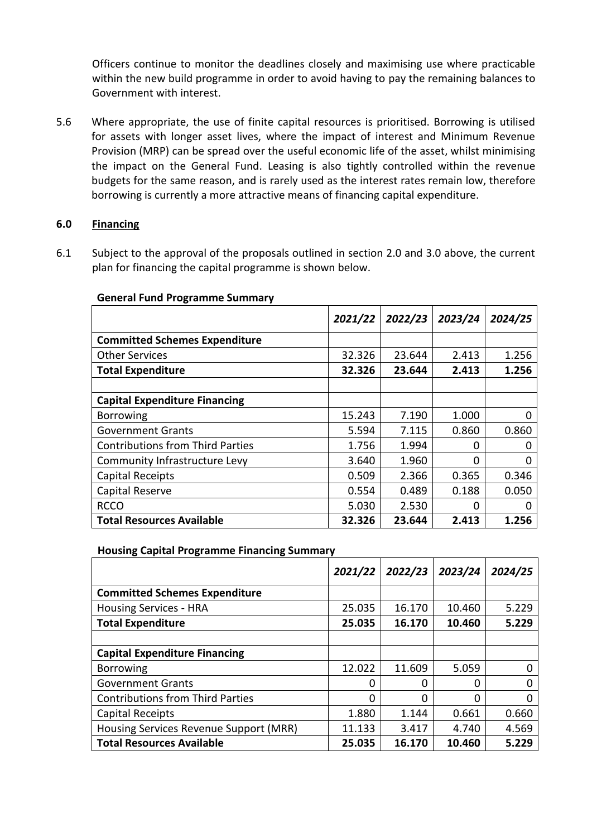Officers continue to monitor the deadlines closely and maximising use where practicable within the new build programme in order to avoid having to pay the remaining balances to Government with interest.

5.6 Where appropriate, the use of finite capital resources is prioritised. Borrowing is utilised for assets with longer asset lives, where the impact of interest and Minimum Revenue Provision (MRP) can be spread over the useful economic life of the asset, whilst minimising the impact on the General Fund. Leasing is also tightly controlled within the revenue budgets for the same reason, and is rarely used as the interest rates remain low, therefore borrowing is currently a more attractive means of financing capital expenditure.

# **6.0 Financing**

6.1 Subject to the approval of the proposals outlined in section 2.0 and 3.0 above, the current plan for financing the capital programme is shown below.

|                                         | 2021/22 | 2022/23 | 2023/24 | 2024/25 |
|-----------------------------------------|---------|---------|---------|---------|
| <b>Committed Schemes Expenditure</b>    |         |         |         |         |
| <b>Other Services</b>                   | 32.326  | 23.644  | 2.413   | 1.256   |
| <b>Total Expenditure</b>                | 32.326  | 23.644  | 2.413   | 1.256   |
|                                         |         |         |         |         |
| <b>Capital Expenditure Financing</b>    |         |         |         |         |
| <b>Borrowing</b>                        | 15.243  | 7.190   | 1.000   | 0       |
| <b>Government Grants</b>                | 5.594   | 7.115   | 0.860   | 0.860   |
| <b>Contributions from Third Parties</b> | 1.756   | 1.994   | 0       | 0       |
| Community Infrastructure Levy           | 3.640   | 1.960   | 0       | O       |
| Capital Receipts                        | 0.509   | 2.366   | 0.365   | 0.346   |
| Capital Reserve                         | 0.554   | 0.489   | 0.188   | 0.050   |
| <b>RCCO</b>                             | 5.030   | 2.530   | 0       | O       |
| <b>Total Resources Available</b>        | 32.326  | 23.644  | 2.413   | 1.256   |

### **General Fund Programme Summary**

## **Housing Capital Programme Financing Summary**

|                                         | 2021/22 | 2022/23 | 2023/24 | 2024/25 |
|-----------------------------------------|---------|---------|---------|---------|
| <b>Committed Schemes Expenditure</b>    |         |         |         |         |
| <b>Housing Services - HRA</b>           | 25.035  | 16.170  | 10.460  | 5.229   |
| <b>Total Expenditure</b>                | 25.035  | 16.170  | 10.460  | 5.229   |
|                                         |         |         |         |         |
| <b>Capital Expenditure Financing</b>    |         |         |         |         |
| <b>Borrowing</b>                        | 12.022  | 11.609  | 5.059   |         |
| <b>Government Grants</b>                | 0       | 0       | 0       | 0       |
| <b>Contributions from Third Parties</b> | 0       | ∩       | 0       |         |
| <b>Capital Receipts</b>                 | 1.880   | 1.144   | 0.661   | 0.660   |
| Housing Services Revenue Support (MRR)  | 11.133  | 3.417   | 4.740   | 4.569   |
| <b>Total Resources Available</b>        | 25.035  | 16.170  | 10.460  | 5.229   |